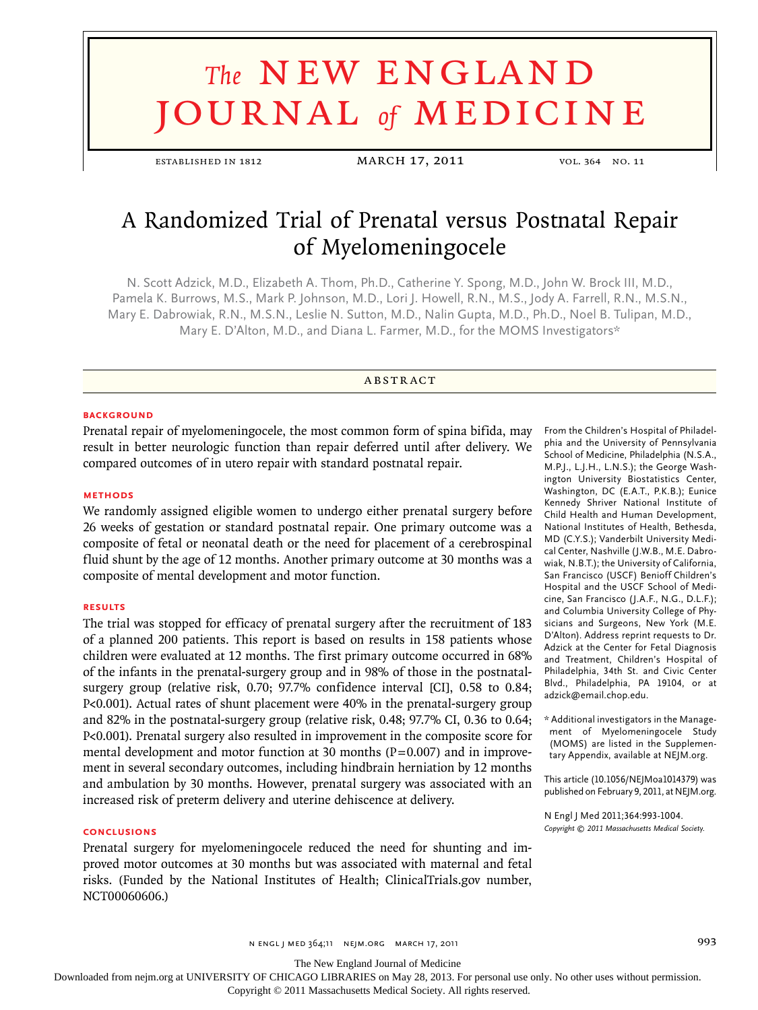# **The NEW ENGLAND** journal *of* medicine

established in 1812 MARCH 17, 2011 vol. 364 no. 11

## A Randomized Trial of Prenatal versus Postnatal Repair of Myelomeningocele

N. Scott Adzick, M.D., Elizabeth A. Thom, Ph.D., Catherine Y. Spong, M.D., John W. Brock III, M.D., Pamela K. Burrows, M.S., Mark P. Johnson, M.D., Lori J. Howell, R.N., M.S., Jody A. Farrell, R.N., M.S.N., Mary E. Dabrowiak, R.N., M.S.N., Leslie N. Sutton, M.D., Nalin Gupta, M.D., Ph.D., Noel B. Tulipan, M.D., Mary E. D'Alton, M.D., and Diana L. Farmer, M.D., for the MOMS Investigators\*

#### **ABSTRACT**

#### **BACKGROUND**

Prenatal repair of myelomeningocele, the most common form of spina bifida, may result in better neurologic function than repair deferred until after delivery. We compared outcomes of in utero repair with standard postnatal repair.

#### **Methods**

We randomly assigned eligible women to undergo either prenatal surgery before 26 weeks of gestation or standard postnatal repair. One primary outcome was a composite of fetal or neonatal death or the need for placement of a cerebrospinal fluid shunt by the age of 12 months. Another primary outcome at 30 months was a composite of mental development and motor function.

#### **Results**

The trial was stopped for efficacy of prenatal surgery after the recruitment of 183 of a planned 200 patients. This report is based on results in 158 patients whose children were evaluated at 12 months. The first primary outcome occurred in 68% of the infants in the prenatal-surgery group and in 98% of those in the postnatalsurgery group (relative risk, 0.70; 97.7% confidence interval [CI], 0.58 to 0.84; P<0.001). Actual rates of shunt placement were 40% in the prenatal-surgery group and 82% in the postnatal-surgery group (relative risk, 0.48; 97.7% CI, 0.36 to 0.64; P<0.001). Prenatal surgery also resulted in improvement in the composite score for mental development and motor function at 30 months  $(P=0.007)$  and in improvement in several secondary outcomes, including hindbrain herniation by 12 months and ambulation by 30 months. However, prenatal surgery was associated with an increased risk of preterm delivery and uterine dehiscence at delivery.

#### **Conclusions**

Prenatal surgery for myelomeningocele reduced the need for shunting and improved motor outcomes at 30 months but was associated with maternal and fetal risks. (Funded by the National Institutes of Health; ClinicalTrials.gov number, NCT00060606.)

From the Children's Hospital of Philadelphia and the University of Pennsylvania School of Medicine, Philadelphia (N.S.A., M.P.J., L.J.H., L.N.S.); the George Washington University Biostatistics Center, Washington, DC (E.A.T., P.K.B.); Eunice Kennedy Shriver National Institute of Child Health and Human Development, National Institutes of Health, Bethesda, MD (C.Y.S.); Vanderbilt University Medical Center, Nashville (J.W.B., M.E. Dabrowiak, N.B.T.); the University of California, San Francisco (USCF) Benioff Children's Hospital and the USCF School of Medicine, San Francisco (J.A.F., N.G., D.L.F.); and Columbia University College of Physicians and Surgeons, New York (M.E. D'Alton). Address reprint requests to Dr. Adzick at the Center for Fetal Diagnosis and Treatment, Children's Hospital of Philadelphia, 34th St. and Civic Center Blvd., Philadelphia, PA 19104, or at adzick@email.chop.edu.

\* Additional investigators in the Management of Myelomeningocele Study (MOMS) are listed in the Supplementary Appendix, available at NEJM.org.

This article (10.1056/NEJMoa1014379) was published on February 9, 2011, at NEJM.org.

N Engl J Med 2011;364:993-1004. *Copyright © 2011 Massachusetts Medical Society.*

n engl j med 364;11 nejm.org march 17, 2011 993

The New England Journal of Medicine

Downloaded from nejm.org at UNIVERSITY OF CHICAGO LIBRARIES on May 28, 2013. For personal use only. No other uses without permission.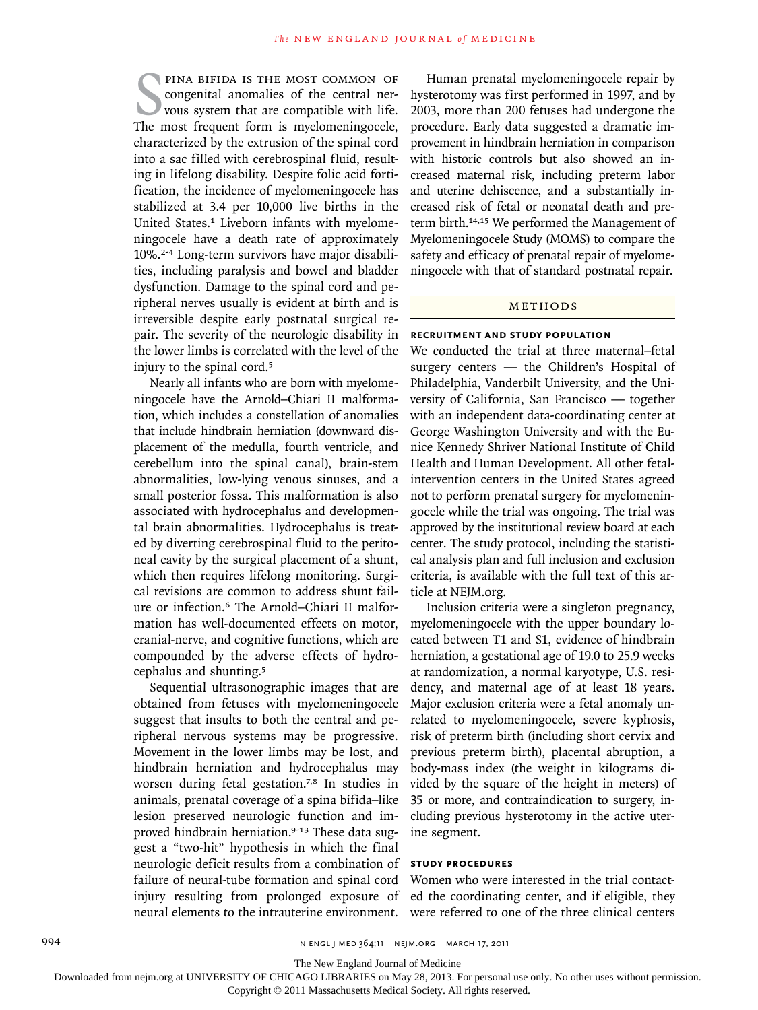**EXECUTE MOST COMMON OF** congenital anomalies of the central ner-<br>vous system that are compatible with life.<br>The most frequent form is myelomeningocele, pina bifida is the most common of congenital anomalies of the central nervous system that are compatible with life. characterized by the extrusion of the spinal cord into a sac filled with cerebrospinal fluid, resulting in lifelong disability. Despite folic acid fortification, the incidence of myelomeningocele has stabilized at 3.4 per 10,000 live births in the United States.<sup>1</sup> Liveborn infants with myelomeningocele have a death rate of approximately 10%.2-4 Long-term survivors have major disabilities, including paralysis and bowel and bladder dysfunction. Damage to the spinal cord and peripheral nerves usually is evident at birth and is irreversible despite early postnatal surgical repair. The severity of the neurologic disability in the lower limbs is correlated with the level of the injury to the spinal cord.<sup>5</sup>

Nearly all infants who are born with myelomeningocele have the Arnold–Chiari II malformation, which includes a constellation of anomalies that include hindbrain herniation (downward displacement of the medulla, fourth ventricle, and cerebellum into the spinal canal), brain-stem abnormalities, low-lying venous sinuses, and a small posterior fossa. This malformation is also associated with hydrocephalus and developmental brain abnormalities. Hydrocephalus is treated by diverting cerebrospinal fluid to the peritoneal cavity by the surgical placement of a shunt, which then requires lifelong monitoring. Surgical revisions are common to address shunt failure or infection.6 The Arnold–Chiari II malformation has well-documented effects on motor, cranial-nerve, and cognitive functions, which are compounded by the adverse effects of hydrocephalus and shunting.<sup>5</sup>

Sequential ultrasonographic images that are obtained from fetuses with myelomeningocele suggest that insults to both the central and peripheral nervous systems may be progressive. Movement in the lower limbs may be lost, and hindbrain herniation and hydrocephalus may worsen during fetal gestation.7,8 In studies in animals, prenatal coverage of a spina bifida–like lesion preserved neurologic function and improved hindbrain herniation.<sup>9-13</sup> These data suggest a "two-hit" hypothesis in which the final neurologic deficit results from a combination of failure of neural-tube formation and spinal cord injury resulting from prolonged exposure of neural elements to the intrauterine environment.

Human prenatal myelomeningocele repair by hysterotomy was first performed in 1997, and by 2003, more than 200 fetuses had undergone the procedure. Early data suggested a dramatic improvement in hindbrain herniation in comparison with historic controls but also showed an increased maternal risk, including preterm labor and uterine dehiscence, and a substantially increased risk of fetal or neonatal death and preterm birth.14,15 We performed the Management of Myelomeningocele Study (MOMS) to compare the safety and efficacy of prenatal repair of myelomeningocele with that of standard postnatal repair.

#### METHODS

### **Recruitment and Study Population**

We conducted the trial at three maternal–fetal surgery centers — the Children's Hospital of Philadelphia, Vanderbilt University, and the University of California, San Francisco — together with an independent data-coordinating center at George Washington University and with the Eunice Kennedy Shriver National Institute of Child Health and Human Development. All other fetalintervention centers in the United States agreed not to perform prenatal surgery for myelomeningocele while the trial was ongoing. The trial was approved by the institutional review board at each center. The study protocol, including the statistical analysis plan and full inclusion and exclusion criteria, is available with the full text of this article at NEJM.org.

Inclusion criteria were a singleton pregnancy, myelomeningocele with the upper boundary located between T1 and S1, evidence of hindbrain herniation, a gestational age of 19.0 to 25.9 weeks at randomization, a normal karyotype, U.S. residency, and maternal age of at least 18 years. Major exclusion criteria were a fetal anomaly unrelated to myelomeningocele, severe kyphosis, risk of preterm birth (including short cervix and previous preterm birth), placental abruption, a body-mass index (the weight in kilograms divided by the square of the height in meters) of 35 or more, and contraindication to surgery, including previous hysterotomy in the active uterine segment.

#### **Study Procedures**

Women who were interested in the trial contacted the coordinating center, and if eligible, they were referred to one of the three clinical centers

994 n engl j med 364;11 nejm.org march 17, 2011

Downloaded from nejm.org at UNIVERSITY OF CHICAGO LIBRARIES on May 28, 2013. For personal use only. No other uses without permission.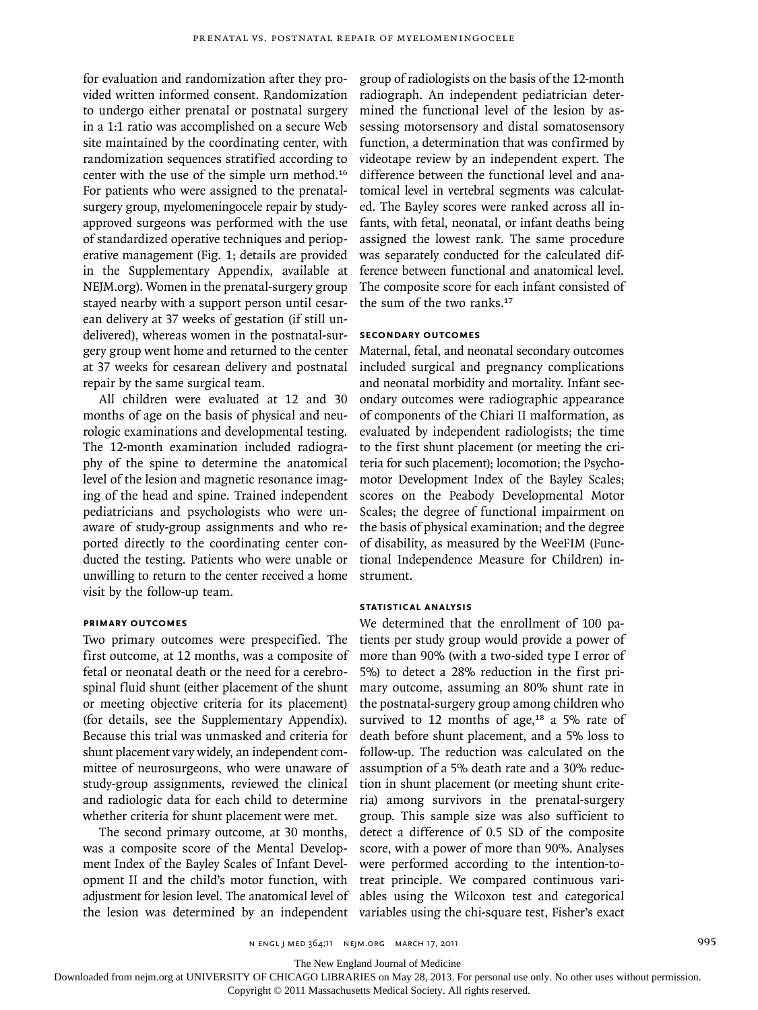for evaluation and randomization after they provided written informed consent. Randomization to undergo either prenatal or postnatal surgery in a 1:1 ratio was accomplished on a secure Web site maintained by the coordinating center, with randomization sequences stratified according to center with the use of the simple urn method.<sup>16</sup> For patients who were assigned to the prenatalsurgery group, myelomeningocele repair by studyapproved surgeons was performed with the use of standardized operative techniques and perioperative management (Fig. 1; details are provided in the Supplementary Appendix, available at NEJM.org). Women in the prenatal-surgery group stayed nearby with a support person until cesarean delivery at 37 weeks of gestation (if still undelivered), whereas women in the postnatal-surgery group went home and returned to the center at 37 weeks for cesarean delivery and postnatal repair by the same surgical team.

All children were evaluated at 12 and 30 months of age on the basis of physical and neurologic examinations and developmental testing. The 12-month examination included radiography of the spine to determine the anatomical level of the lesion and magnetic resonance imaging of the head and spine. Trained independent pediatricians and psychologists who were unaware of study-group assignments and who reported directly to the coordinating center conducted the testing. Patients who were unable or unwilling to return to the center received a home visit by the follow-up team.

#### **Primary Outcomes**

Two primary outcomes were prespecified. The first outcome, at 12 months, was a composite of fetal or neonatal death or the need for a cerebrospinal fluid shunt (either placement of the shunt or meeting objective criteria for its placement) (for details, see the Supplementary Appendix). Because this trial was unmasked and criteria for shunt placement vary widely, an independent committee of neurosurgeons, who were unaware of study-group assignments, reviewed the clinical and radiologic data for each child to determine whether criteria for shunt placement were met.

The second primary outcome, at 30 months, was a composite score of the Mental Development Index of the Bayley Scales of Infant Development II and the child's motor function, with

group of radiologists on the basis of the 12-month radiograph. An independent pediatrician determined the functional level of the lesion by assessing motorsensory and distal somatosensory function, a determination that was confirmed by videotape review by an independent expert. The difference between the functional level and anatomical level in vertebral segments was calculated. The Bayley scores were ranked across all infants, with fetal, neonatal, or infant deaths being assigned the lowest rank. The same procedure was separately conducted for the calculated difference between functional and anatomical level. The composite score for each infant consisted of the sum of the two ranks.<sup>17</sup>

#### **Secondary Outcomes**

Maternal, fetal, and neonatal secondary outcomes included surgical and pregnancy complications and neonatal morbidity and mortality. Infant secondary outcomes were radiographic appearance of components of the Chiari II malformation, as evaluated by independent radiologists; the time to the first shunt placement (or meeting the criteria for such placement); locomotion; the Psychomotor Development Index of the Bayley Scales; scores on the Peabody Developmental Motor Scales; the degree of functional impairment on the basis of physical examination; and the degree of disability, as measured by the WeeFIM (Functional Independence Measure for Children) instrument.

#### **Statistical Analysis**

adjustment for lesion level. The anatomical level of ables using the Wilcoxon test and categorical the lesion was determined by an independent variables using the chi-square test, Fisher's exact We determined that the enrollment of 100 patients per study group would provide a power of more than 90% (with a two-sided type I error of 5%) to detect a 28% reduction in the first primary outcome, assuming an 80% shunt rate in the postnatal-surgery group among children who survived to 12 months of age, $18$  a 5% rate of death before shunt placement, and a 5% loss to follow-up. The reduction was calculated on the assumption of a 5% death rate and a 30% reduction in shunt placement (or meeting shunt criteria) among survivors in the prenatal-surgery group. This sample size was also sufficient to detect a difference of 0.5 SD of the composite score, with a power of more than 90%. Analyses were performed according to the intention-totreat principle. We compared continuous vari-

The New England Journal of Medicine

Downloaded from nejm.org at UNIVERSITY OF CHICAGO LIBRARIES on May 28, 2013. For personal use only. No other uses without permission.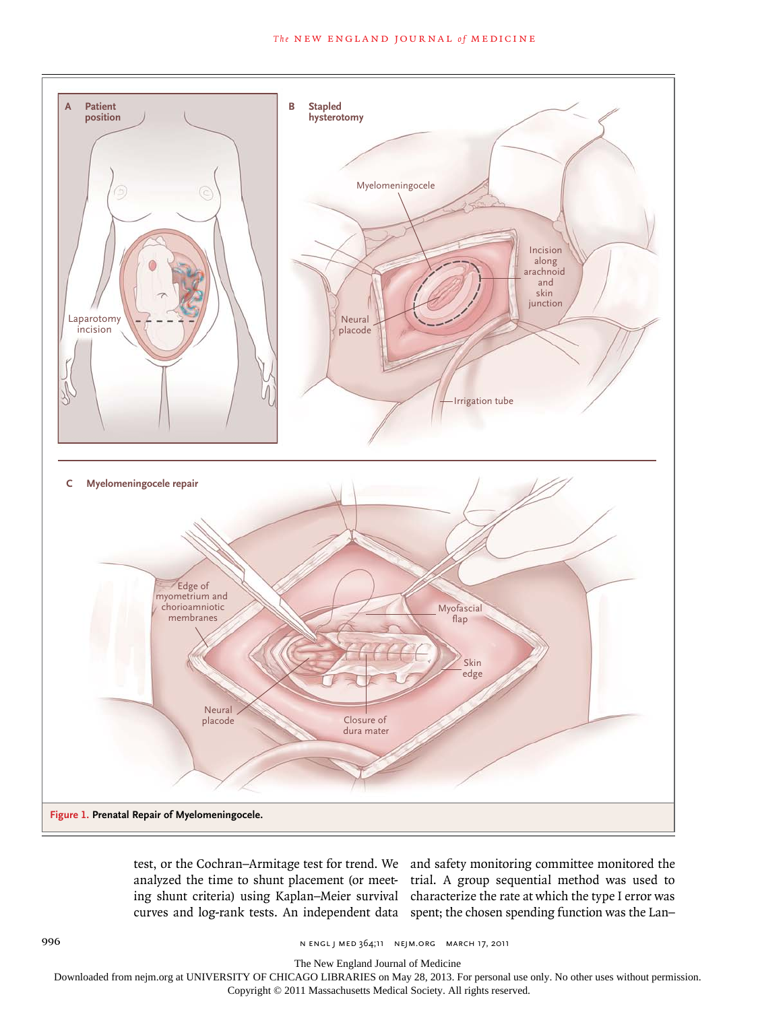

test, or the Cochran–Armitage test for trend. We and safety monitoring committee monitored the analyzed the time to shunt placement (or meet- trial. A group sequential method was used to ing shunt criteria) using Kaplan–Meier survival characterize the rate at which the type I error was curves and log-rank tests. An independent data spent; the chosen spending function was the Lan– Artist Knoper

996 n engl j med 364;11 nejm.org march 17, 2011

The New England Journal of Medicine

Downloaded from nejm.org at UNIVERSITY OF CHICAGO LIBRARIES on May 28, 2013. For personal use only. No other uses without permission.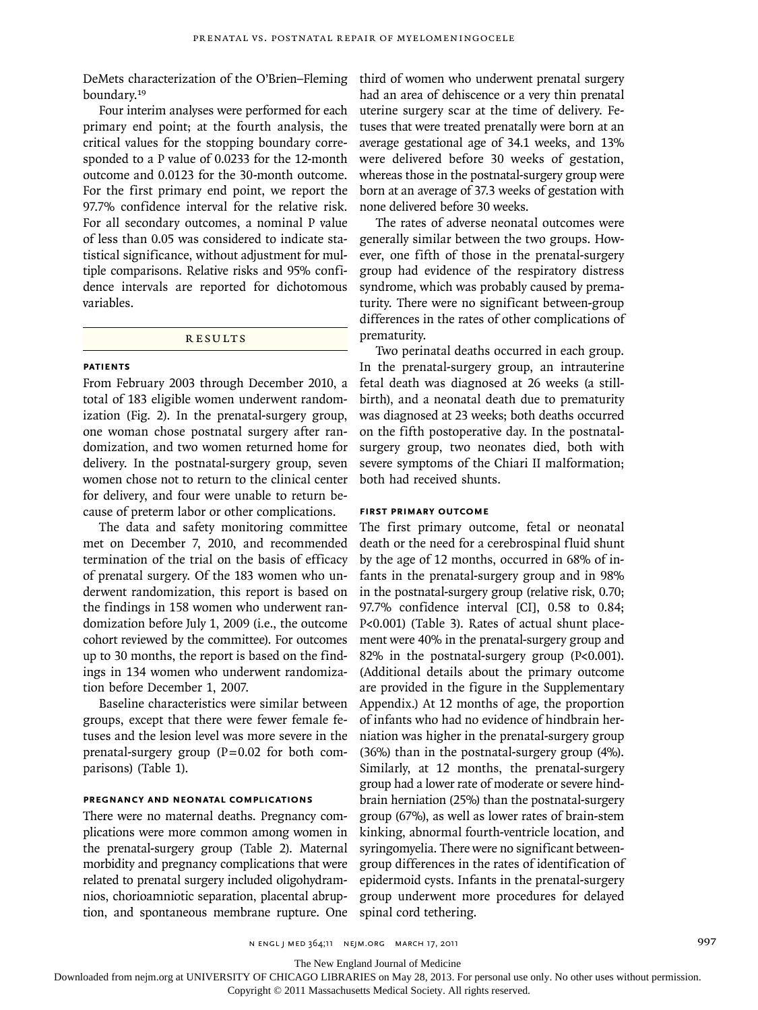boundary.<sup>19</sup>

Four interim analyses were performed for each primary end point; at the fourth analysis, the critical values for the stopping boundary corresponded to a P value of 0.0233 for the 12-month outcome and 0.0123 for the 30-month outcome. For the first primary end point, we report the 97.7% confidence interval for the relative risk. For all secondary outcomes, a nominal P value of less than 0.05 was considered to indicate statistical significance, without adjustment for multiple comparisons. Relative risks and 95% confidence intervals are reported for dichotomous variables.

#### **RESULTS**

#### **Patients**

From February 2003 through December 2010, a total of 183 eligible women underwent randomization (Fig. 2). In the prenatal-surgery group, one woman chose postnatal surgery after randomization, and two women returned home for delivery. In the postnatal-surgery group, seven women chose not to return to the clinical center for delivery, and four were unable to return because of preterm labor or other complications.

The data and safety monitoring committee met on December 7, 2010, and recommended termination of the trial on the basis of efficacy of prenatal surgery. Of the 183 women who underwent randomization, this report is based on the findings in 158 women who underwent randomization before July 1, 2009 (i.e., the outcome cohort reviewed by the committee). For outcomes up to 30 months, the report is based on the findings in 134 women who underwent randomization before December 1, 2007.

Baseline characteristics were similar between groups, except that there were fewer female fetuses and the lesion level was more severe in the prenatal-surgery group  $(P=0.02$  for both comparisons) (Table 1).

#### **Pregnancy and Neonatal Complications**

There were no maternal deaths. Pregnancy complications were more common among women in the prenatal-surgery group (Table 2). Maternal morbidity and pregnancy complications that were related to prenatal surgery included oligohydramnios, chorioamniotic separation, placental abruption, and spontaneous membrane rupture. One

DeMets characterization of the O'Brien–Fleming third of women who underwent prenatal surgery had an area of dehiscence or a very thin prenatal uterine surgery scar at the time of delivery. Fetuses that were treated prenatally were born at an average gestational age of 34.1 weeks, and 13% were delivered before 30 weeks of gestation, whereas those in the postnatal-surgery group were born at an average of 37.3 weeks of gestation with none delivered before 30 weeks.

> The rates of adverse neonatal outcomes were generally similar between the two groups. However, one fifth of those in the prenatal-surgery group had evidence of the respiratory distress syndrome, which was probably caused by prematurity. There were no significant between-group differences in the rates of other complications of prematurity.

> Two perinatal deaths occurred in each group. In the prenatal-surgery group, an intrauterine fetal death was diagnosed at 26 weeks (a stillbirth), and a neonatal death due to prematurity was diagnosed at 23 weeks; both deaths occurred on the fifth postoperative day. In the postnatalsurgery group, two neonates died, both with severe symptoms of the Chiari II malformation; both had received shunts.

#### **First Primary Outcome**

The first primary outcome, fetal or neonatal death or the need for a cerebrospinal fluid shunt by the age of 12 months, occurred in 68% of infants in the prenatal-surgery group and in 98% in the postnatal-surgery group (relative risk, 0.70; 97.7% confidence interval [CI], 0.58 to 0.84; P<0.001) (Table 3). Rates of actual shunt placement were 40% in the prenatal-surgery group and 82% in the postnatal-surgery group (P<0.001). (Additional details about the primary outcome are provided in the figure in the Supplementary Appendix.) At 12 months of age, the proportion of infants who had no evidence of hindbrain herniation was higher in the prenatal-surgery group (36%) than in the postnatal-surgery group (4%). Similarly, at 12 months, the prenatal-surgery group had a lower rate of moderate or severe hindbrain herniation (25%) than the postnatal-surgery group (67%), as well as lower rates of brain-stem kinking, abnormal fourth-ventricle location, and syringomyelia. There were no significant betweengroup differences in the rates of identification of epidermoid cysts. Infants in the prenatal-surgery group underwent more procedures for delayed spinal cord tethering.

n engl j med 364;11 nejm.org march 17, 2011 997

The New England Journal of Medicine

Downloaded from nejm.org at UNIVERSITY OF CHICAGO LIBRARIES on May 28, 2013. For personal use only. No other uses without permission.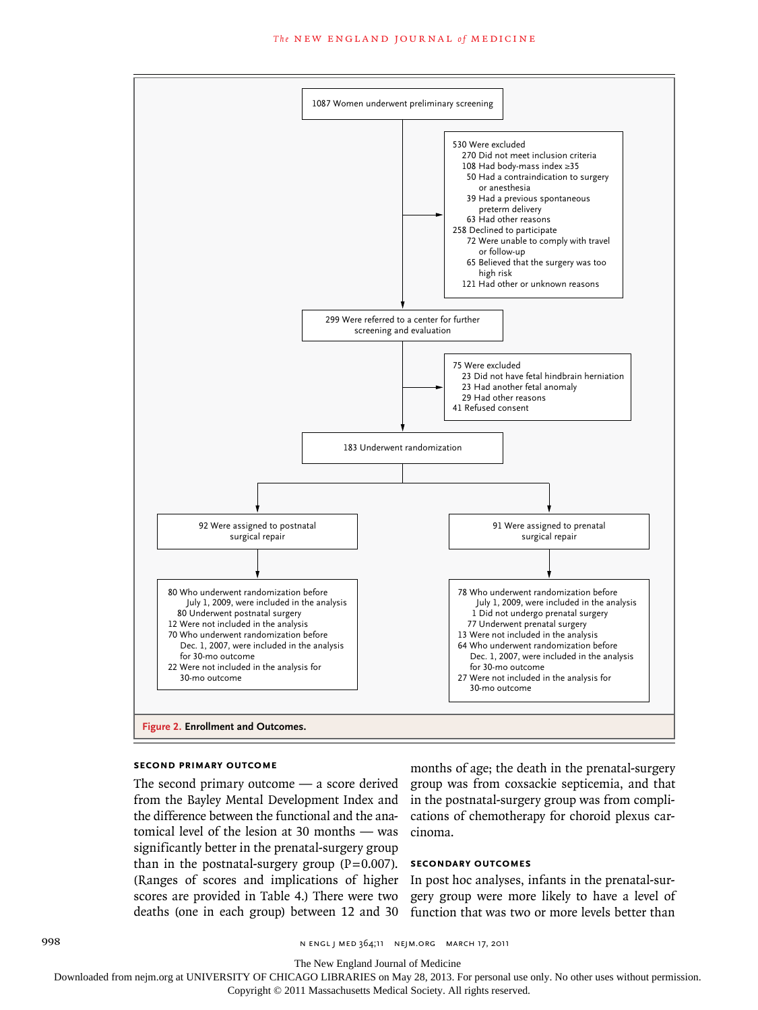#### The NEW ENGLAND JOURNAL of MEDICINE



#### **Second Primary Outcome**

The second primary outcome — a score derived from the Bayley Mental Development Index and the difference between the functional and the anatomical level of the lesion at 30 months — was significantly better in the prenatal-surgery group than in the postnatal-surgery group  $(P=0.007)$ . (Ranges of scores and implications of higher scores are provided in Table 4.) There were two deaths (one in each group) between 12 and 30

months of age; the death in the prenatal-surgery group was from coxsackie septicemia, and that in the postnatal-surgery group was from complications of chemotherapy for choroid plexus carcinoma.

#### **Secondary Outcomes**

In post hoc analyses, infants in the prenatal-surgery group were more likely to have a level of function that was two or more levels better than

998 n engl j med 364;11 nejm.org march 17, 2011

The New England Journal of Medicine

Downloaded from nejm.org at UNIVERSITY OF CHICAGO LIBRARIES on May 28, 2013. For personal use only. No other uses without permission.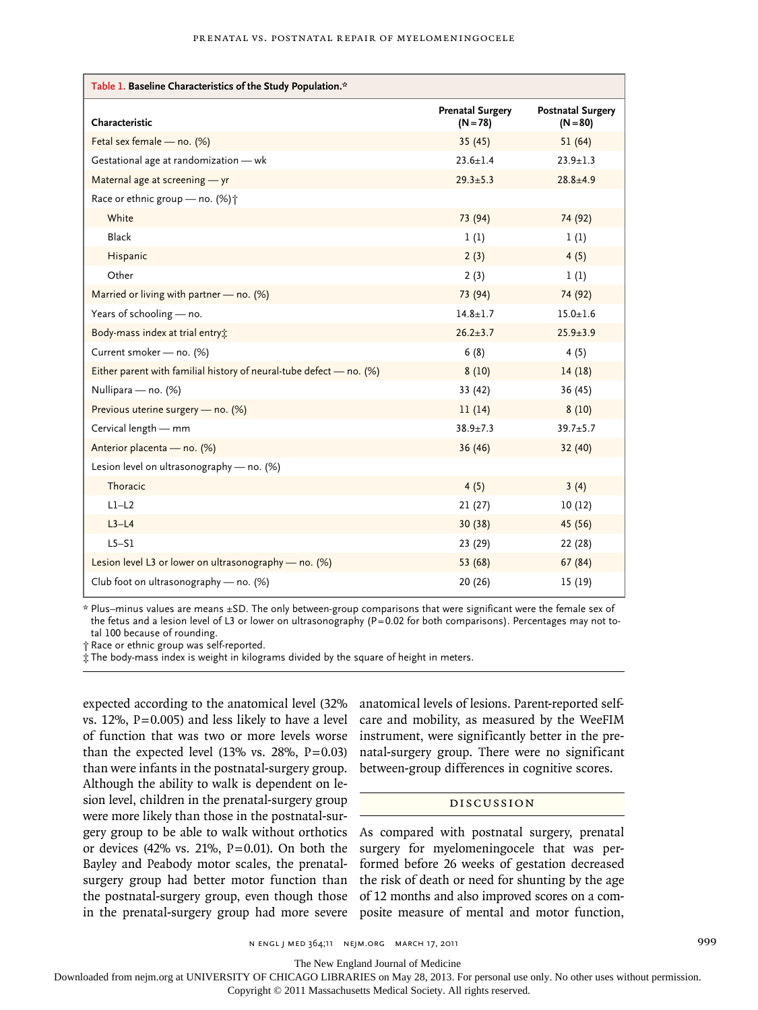| Table 1. Baseline Characteristics of the Study Population.*           |                                       |                                        |  |
|-----------------------------------------------------------------------|---------------------------------------|----------------------------------------|--|
| Characteristic                                                        | <b>Prenatal Surgery</b><br>$(N = 78)$ | <b>Postnatal Surgery</b><br>$(N = 80)$ |  |
| Fetal sex female - no. (%)                                            | 35(45)                                | 51(64)                                 |  |
| Gestational age at randomization - wk                                 | $23.6 + 1.4$                          | $23.9 + 1.3$                           |  |
| Maternal age at screening - yr                                        | $29.3 \pm 5.3$                        | $28.8 + 4.9$                           |  |
| Race or ethnic group - no. (%) +                                      |                                       |                                        |  |
| White                                                                 | 73 (94)                               | 74 (92)                                |  |
| Black                                                                 | 1(1)                                  | 1(1)                                   |  |
| Hispanic                                                              | 2(3)                                  | 4(5)                                   |  |
| Other                                                                 | 2(3)                                  | 1(1)                                   |  |
| Married or living with partner - no. (%)                              | 73 (94)                               | 74 (92)                                |  |
| Years of schooling - no.                                              | $14.8 + 1.7$                          | $15.0 + 1.6$                           |  |
| Body-mass index at trial entry:                                       | $26.2 \pm 3.7$                        | $25.9 + 3.9$                           |  |
| Current smoker - no. (%)                                              | 6(8)                                  | 4(5)                                   |  |
| Either parent with familial history of neural-tube defect $-$ no. (%) | 8(10)                                 | 14(18)                                 |  |
| Nullipara - no. (%)                                                   | 33 (42)                               | 36(45)                                 |  |
| Previous uterine surgery - no. (%)                                    | 11(14)                                | 8(10)                                  |  |
| Cervical length - mm                                                  | $38.9 + 7.3$                          | $39.7 + 5.7$                           |  |
| Anterior placenta - no. (%)                                           | 36(46)                                | 32 (40)                                |  |
| Lesion level on ultrasonography - no. (%)                             |                                       |                                        |  |
| Thoracic                                                              | 4(5)                                  | 3(4)                                   |  |
| $L1-L2$                                                               | 21(27)                                | 10(12)                                 |  |
| $L3-L4$                                                               | 30(38)                                | 45 (56)                                |  |
| $L5-S1$                                                               | 23 (29)                               | 22 (28)                                |  |
| Lesion level L3 or lower on ultrasonography — no. $(\%)$              | 53 (68)                               | 67 (84)                                |  |
| Club foot on ultrasonography - no. (%)                                | 20(26)                                | 15 (19)                                |  |

\* Plus–minus values are means ±SD. The only between-group comparisons that were significant were the female sex of the fetus and a lesion level of L3 or lower on ultrasonography (P=0.02 for both comparisons). Percentages may not total 100 because of rounding.

† Race or ethnic group was self-reported.

‡ The body-mass index is weight in kilograms divided by the square of height in meters.

expected according to the anatomical level (32% vs.  $12\%$ ,  $P=0.005$ ) and less likely to have a level of function that was two or more levels worse than the expected level  $(13\% \text{ vs. } 28\%, \text{ P}=0.03)$ than were infants in the postnatal-surgery group. Although the ability to walk is dependent on lesion level, children in the prenatal-surgery group were more likely than those in the postnatal-surgery group to be able to walk without orthotics or devices (42% vs. 21%,  $P=0.01$ ). On both the Bayley and Peabody motor scales, the prenatalsurgery group had better motor function than the postnatal-surgery group, even though those

anatomical levels of lesions. Parent-reported selfcare and mobility, as measured by the WeeFIM instrument, were significantly better in the prenatal-surgery group. There were no significant between-group differences in cognitive scores.

#### Discussion

in the prenatal-surgery group had more severe posite measure of mental and motor function, As compared with postnatal surgery, prenatal surgery for myelomeningocele that was performed before 26 weeks of gestation decreased the risk of death or need for shunting by the age of 12 months and also improved scores on a com-

The New England Journal of Medicine

Downloaded from nejm.org at UNIVERSITY OF CHICAGO LIBRARIES on May 28, 2013. For personal use only. No other uses without permission.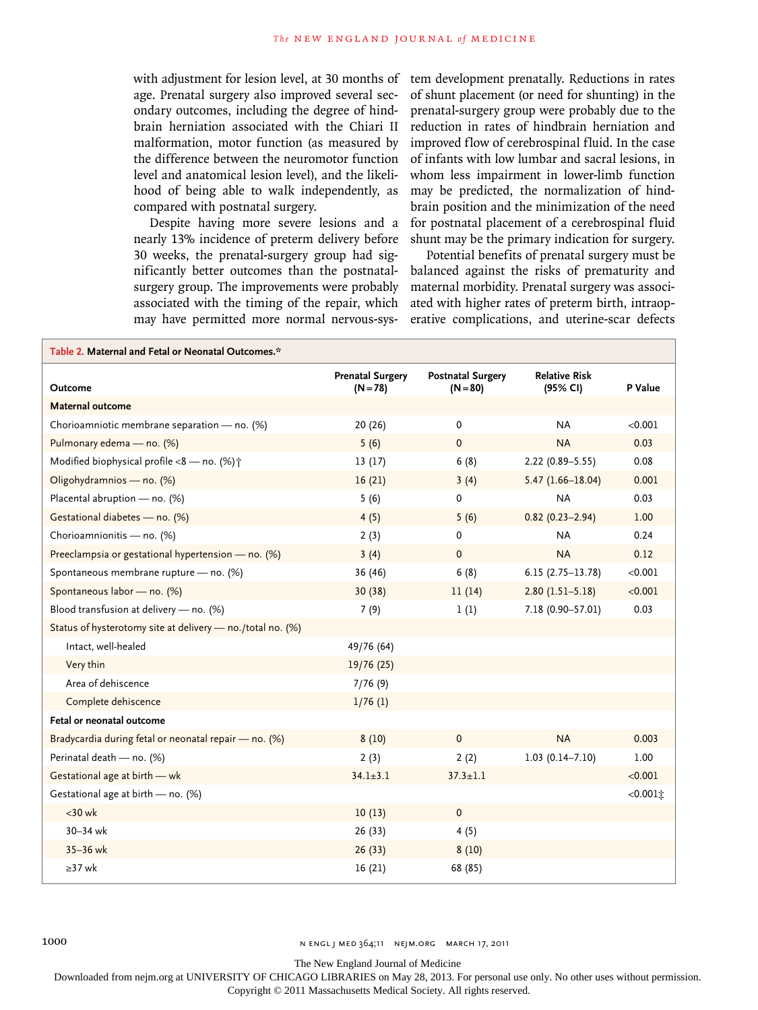with adjustment for lesion level, at 30 months of age. Prenatal surgery also improved several secondary outcomes, including the degree of hindbrain herniation associated with the Chiari II malformation, motor function (as measured by the difference between the neuromotor function level and anatomical lesion level), and the likelihood of being able to walk independently, as compared with postnatal surgery.

Despite having more severe lesions and a nearly 13% incidence of preterm delivery before 30 weeks, the prenatal-surgery group had significantly better outcomes than the postnatalsurgery group. The improvements were probably associated with the timing of the repair, which may have permitted more normal nervous-sys-

tem development prenatally. Reductions in rates of shunt placement (or need for shunting) in the prenatal-surgery group were probably due to the reduction in rates of hindbrain herniation and improved flow of cerebrospinal fluid. In the case of infants with low lumbar and sacral lesions, in whom less impairment in lower-limb function may be predicted, the normalization of hindbrain position and the minimization of the need for postnatal placement of a cerebrospinal fluid shunt may be the primary indication for surgery.

Potential benefits of prenatal surgery must be balanced against the risks of prematurity and maternal morbidity. Prenatal surgery was associated with higher rates of preterm birth, intraoperative complications, and uterine-scar defects

| Table 2. Maternal and Fetal or Neonatal Outcomes.*         |                                       |                                        |                                  |             |
|------------------------------------------------------------|---------------------------------------|----------------------------------------|----------------------------------|-------------|
| <b>Outcome</b>                                             | <b>Prenatal Surgery</b><br>$(N = 78)$ | <b>Postnatal Surgery</b><br>$(N = 80)$ | <b>Relative Risk</b><br>(95% CI) | P Value     |
| Maternal outcome                                           |                                       |                                        |                                  |             |
| Chorioamniotic membrane separation - no. (%)               | 20(26)                                | 0                                      | <b>NA</b>                        | < 0.001     |
| Pulmonary edema - no. (%)                                  | 5(6)                                  | $\Omega$                               | <b>NA</b>                        | 0.03        |
| Modified biophysical profile $<8$ - no. (%) $\uparrow$     | 13(17)                                | 6(8)                                   | $2.22(0.89 - 5.55)$              | 0.08        |
| Oligohydramnios - no. (%)                                  | 16(21)                                | 3(4)                                   | $5.47(1.66 - 18.04)$             | 0.001       |
| Placental abruption - no. (%)                              | 5(6)                                  | $\Omega$                               | <b>NA</b>                        | 0.03        |
| Gestational diabetes - no. (%)                             | 4(5)                                  | 5(6)                                   | $0.82(0.23 - 2.94)$              | 1.00        |
| Chorioamnionitis - no. (%)                                 | 2(3)                                  | 0                                      | <b>NA</b>                        | 0.24        |
| Preeclampsia or gestational hypertension - no. (%)         | 3(4)                                  | $\mathbf{0}$                           | <b>NA</b>                        | 0.12        |
| Spontaneous membrane rupture - no. (%)                     | 36 (46)                               | 6(8)                                   | $6.15(2.75-13.78)$               | < 0.001     |
| Spontaneous labor - no. (%)                                | 30 (38)                               | 11(14)                                 | $2.80(1.51-5.18)$                | < 0.001     |
| Blood transfusion at delivery - no. (%)                    | 7(9)                                  | 1(1)                                   | 7.18 (0.90-57.01)                | 0.03        |
| Status of hysterotomy site at delivery - no./total no. (%) |                                       |                                        |                                  |             |
| Intact, well-healed                                        | 49/76 (64)                            |                                        |                                  |             |
| Very thin                                                  | 19/76(25)                             |                                        |                                  |             |
| Area of dehiscence                                         | 7/76(9)                               |                                        |                                  |             |
| Complete dehiscence                                        | $1/76$ (1)                            |                                        |                                  |             |
| Fetal or neonatal outcome                                  |                                       |                                        |                                  |             |
| Bradycardia during fetal or neonatal repair - no. (%)      | 8(10)                                 | $\mathbf{0}$                           | <b>NA</b>                        | 0.003       |
| Perinatal death - no. (%)                                  | 2(3)                                  | 2(2)                                   | $1.03(0.14 - 7.10)$              | 1.00        |
| Gestational age at birth - wk                              | $34.1 \pm 3.1$                        | $37.3 \pm 1.1$                         |                                  | < 0.001     |
| Gestational age at birth - no. (%)                         |                                       |                                        |                                  | $<0.001$ i: |
| $<$ 30 wk                                                  | 10(13)                                | $\Omega$                               |                                  |             |
| 30-34 wk                                                   | 26 (33)                               | 4(5)                                   |                                  |             |
| $35 - 36$ wk                                               | 26(33)                                | 8(10)                                  |                                  |             |
| $\geq$ 37 wk                                               | 16(21)                                | 68 (85)                                |                                  |             |

1000 **n ENGL J MED 364;11 NEIM.ORG MARCH 17, 2011** 

The New England Journal of Medicine

Downloaded from nejm.org at UNIVERSITY OF CHICAGO LIBRARIES on May 28, 2013. For personal use only. No other uses without permission.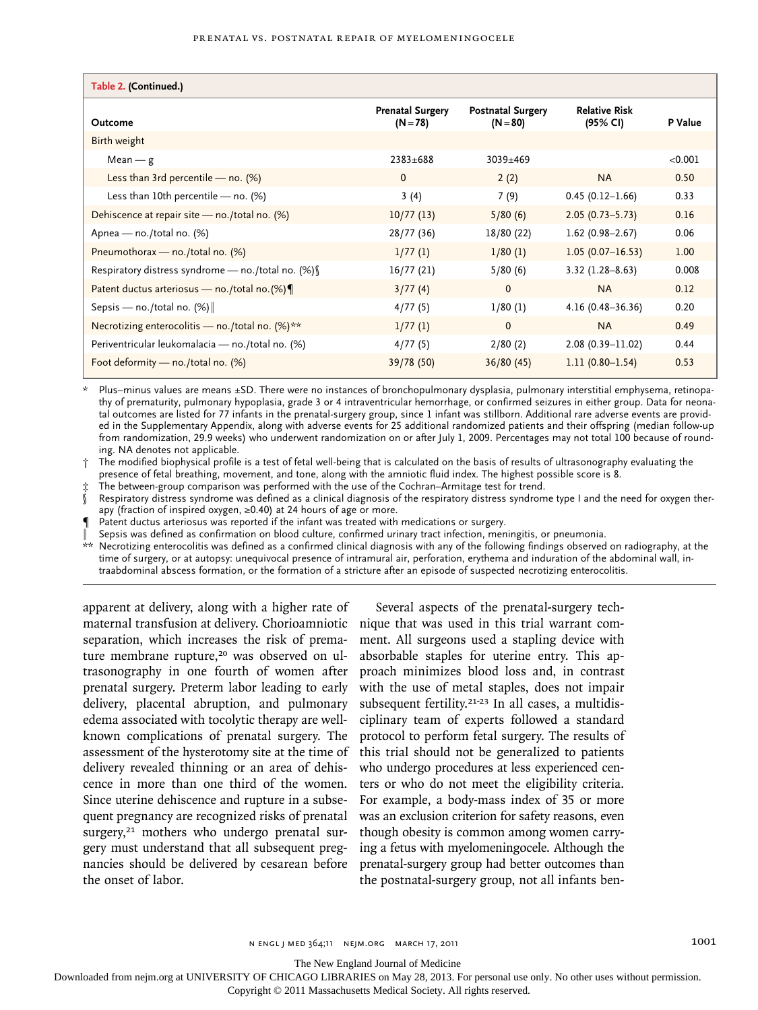#### Prenatal vs. Postnatal Repair of Myelomeningocele

| Table 2. (Continued.)                                |                                       |                                        |                                  |         |
|------------------------------------------------------|---------------------------------------|----------------------------------------|----------------------------------|---------|
| Outcome                                              | <b>Prenatal Surgery</b><br>$(N = 78)$ | <b>Postnatal Surgery</b><br>$(N = 80)$ | <b>Relative Risk</b><br>(95% CI) | P Value |
| Birth weight                                         |                                       |                                        |                                  |         |
| $Mean - g$                                           | $2383 + 688$                          | $3039 \pm 469$                         |                                  | < 0.001 |
| Less than 3rd percentile — no. $(\%)$                | $\mathbf{0}$                          | 2(2)                                   | <b>NA</b>                        | 0.50    |
| Less than 10th percentile $-$ no. (%)                | 3(4)                                  | 7(9)                                   | $0.45(0.12 - 1.66)$              | 0.33    |
| Dehiscence at repair site - no./total no. (%)        | 10/77(13)                             | 5/80(6)                                | $2.05(0.73 - 5.73)$              | 0.16    |
| Apnea - no./total no. (%)                            | 28/77 (36)                            | 18/80 (22)                             | $1.62(0.98 - 2.67)$              | 0.06    |
| Pneumothorax - no./total no. (%)                     | 1/77(1)                               | 1/80(1)                                | $1.05(0.07 - 16.53)$             | 1.00    |
| Respiratory distress syndrome — no./total no. $(\%)$ | 16/77(21)                             | 5/80(6)                                | $3.32(1.28 - 8.63)$              | 0.008   |
| Patent ductus arteriosus — no./total no.(%)          | 3/77(4)                               | $\mathbf{0}$                           | <b>NA</b>                        | 0.12    |
| Sepsis — no./total no. $(\%)$                        | 4/77(5)                               | 1/80(1)                                | $4.16(0.48 - 36.36)$             | 0.20    |
| Necrotizing enterocolitis - no./total no. (%)**      | 1/77(1)                               | $\mathbf{0}$                           | <b>NA</b>                        | 0.49    |
| Periventricular leukomalacia — no./total no. (%)     | 4/77(5)                               | 2/80(2)                                | 2.08 (0.39-11.02)                | 0.44    |
| Foot deformity - no./total no. (%)                   | 39/78 (50)                            | 36/80(45)                              | $1.11(0.80 - 1.54)$              | 0.53    |

Plus–minus values are means ±SD. There were no instances of bronchopulmonary dysplasia, pulmonary interstitial emphysema, retinopathy of prematurity, pulmonary hypoplasia, grade 3 or 4 intraventricular hemorrhage, or confirmed seizures in either group. Data for neonatal outcomes are listed for 77 infants in the prenatal-surgery group, since 1 infant was stillborn. Additional rare adverse events are provided in the Supplementary Appendix, along with adverse events for 25 additional randomized patients and their offspring (median follow-up from randomization, 29.9 weeks) who underwent randomization on or after July 1, 2009. Percentages may not total 100 because of rounding. NA denotes not applicable.

† The modified biophysical profile is a test of fetal well-being that is calculated on the basis of results of ultrasonography evaluating the presence of fetal breathing, movement, and tone, along with the amniotic fluid index. The highest possible score is 8.

The between-group comparison was performed with the use of the Cochran–Armitage test for trend.

Respiratory distress syndrome was defined as a clinical diagnosis of the respiratory distress syndrome type I and the need for oxygen therapy (fraction of inspired oxygen, ≥0.40) at 24 hours of age or more.

Patent ductus arteriosus was reported if the infant was treated with medications or surgery.

Sepsis was defined as confirmation on blood culture, confirmed urinary tract infection, meningitis, or pneumonia.

\*\* Necrotizing enterocolitis was defined as a confirmed clinical diagnosis with any of the following findings observed on radiography, at the time of surgery, or at autopsy: unequivocal presence of intramural air, perforation, erythema and induration of the abdominal wall, intraabdominal abscess formation, or the formation of a stricture after an episode of suspected necrotizing enterocolitis.

apparent at delivery, along with a higher rate of maternal transfusion at delivery. Chorioamniotic separation, which increases the risk of premature membrane rupture,<sup>20</sup> was observed on ultrasonography in one fourth of women after prenatal surgery. Preterm labor leading to early delivery, placental abruption, and pulmonary edema associated with tocolytic therapy are wellknown complications of prenatal surgery. The assessment of the hysterotomy site at the time of delivery revealed thinning or an area of dehiscence in more than one third of the women. Since uterine dehiscence and rupture in a subsequent pregnancy are recognized risks of prenatal surgery,<sup>21</sup> mothers who undergo prenatal surgery must understand that all subsequent pregnancies should be delivered by cesarean before the onset of labor.

Several aspects of the prenatal-surgery technique that was used in this trial warrant comment. All surgeons used a stapling device with absorbable staples for uterine entry. This approach minimizes blood loss and, in contrast with the use of metal staples, does not impair subsequent fertility.<sup>21-23</sup> In all cases, a multidisciplinary team of experts followed a standard protocol to perform fetal surgery. The results of this trial should not be generalized to patients who undergo procedures at less experienced centers or who do not meet the eligibility criteria. For example, a body-mass index of 35 or more was an exclusion criterion for safety reasons, even though obesity is common among women carrying a fetus with myelomeningocele. Although the prenatal-surgery group had better outcomes than the postnatal-surgery group, not all infants ben-

The New England Journal of Medicine

Downloaded from nejm.org at UNIVERSITY OF CHICAGO LIBRARIES on May 28, 2013. For personal use only. No other uses without permission.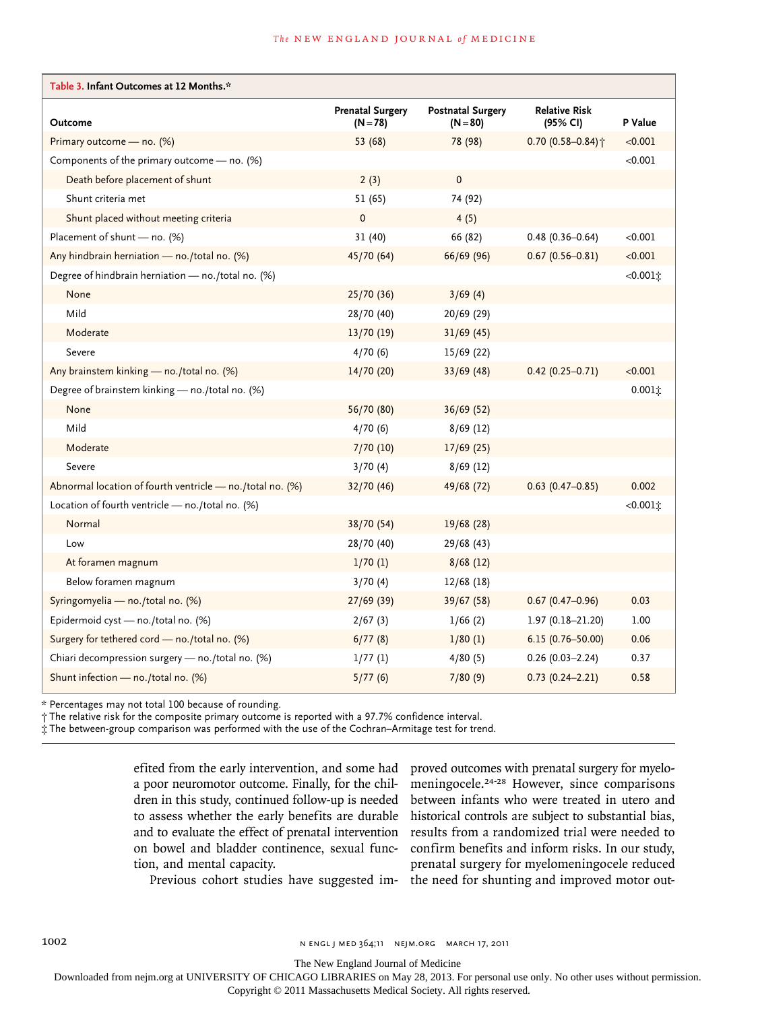| Table 3. Infant Outcomes at 12 Months.*                   |                                       |                                        |                                  |             |
|-----------------------------------------------------------|---------------------------------------|----------------------------------------|----------------------------------|-------------|
| Outcome                                                   | <b>Prenatal Surgery</b><br>$(N = 78)$ | <b>Postnatal Surgery</b><br>$(N = 80)$ | <b>Relative Risk</b><br>(95% CI) | P Value     |
| Primary outcome - no. (%)                                 | 53 (68)                               | 78 (98)                                | $0.70(0.58 - 0.84)$ <sup>+</sup> | < 0.001     |
| Components of the primary outcome - no. (%)               |                                       |                                        |                                  | < 0.001     |
| Death before placement of shunt                           | 2(3)                                  | $\mathbf{0}$                           |                                  |             |
| Shunt criteria met                                        | 51 (65)                               | 74 (92)                                |                                  |             |
| Shunt placed without meeting criteria                     | $\mathbf 0$                           | 4(5)                                   |                                  |             |
| Placement of shunt - no. (%)                              | 31(40)                                | 66 (82)                                | $0.48(0.36 - 0.64)$              | < 0.001     |
| Any hindbrain herniation - no./total no. (%)              | 45/70 (64)                            | 66/69 (96)                             | $0.67(0.56 - 0.81)$              | < 0.001     |
| Degree of hindbrain herniation - no./total no. (%)        |                                       |                                        |                                  | $<0.001$ t  |
| None                                                      | 25/70(36)                             | 3/69(4)                                |                                  |             |
| Mild                                                      | 28/70 (40)                            | 20/69 (29)                             |                                  |             |
| Moderate                                                  | 13/70 (19)                            | 31/69(45)                              |                                  |             |
| Severe                                                    | 4/70(6)                               | 15/69 (22)                             |                                  |             |
| Any brainstem kinking - no./total no. (%)                 | 14/70(20)                             | 33/69(48)                              | $0.42(0.25 - 0.71)$              | < 0.001     |
| Degree of brainstem kinking - no./total no. (%)           |                                       |                                        |                                  | $0.001$ t   |
| None                                                      | 56/70 (80)                            | 36/69(52)                              |                                  |             |
| Mild                                                      | 4/70(6)                               | 8/69(12)                               |                                  |             |
| Moderate                                                  | 7/70 (10)                             | 17/69(25)                              |                                  |             |
| Severe                                                    | 3/70(4)                               | 8/69(12)                               |                                  |             |
| Abnormal location of fourth ventricle - no./total no. (%) | 32/70 (46)                            | 49/68 (72)                             | $0.63(0.47-0.85)$                | 0.002       |
| Location of fourth ventricle - no./total no. (%)          |                                       |                                        |                                  | $<0.001$ i: |
| Normal                                                    | 38/70 (54)                            | 19/68 (28)                             |                                  |             |
| Low                                                       | 28/70 (40)                            | 29/68 (43)                             |                                  |             |
| At foramen magnum                                         | 1/70(1)                               | 8/68(12)                               |                                  |             |
| Below foramen magnum                                      | 3/70(4)                               | 12/68(18)                              |                                  |             |
| Syringomyelia - no./total no. (%)                         | 27/69(39)                             | 39/67 (58)                             | $0.67(0.47 - 0.96)$              | 0.03        |
| Epidermoid cyst - no./total no. (%)                       | 2/67(3)                               | 1/66(2)                                | $1.97(0.18 - 21.20)$             | 1.00        |
| Surgery for tethered cord - no./total no. (%)             | 6/77(8)                               | 1/80(1)                                | $6.15(0.76 - 50.00)$             | 0.06        |
| Chiari decompression surgery - no./total no. (%)          | 1/77(1)                               | 4/80(5)                                | $0.26(0.03 - 2.24)$              | 0.37        |
| Shunt infection - no./total no. (%)                       | 5/77(6)                               | 7/80(9)                                | $0.73(0.24 - 2.21)$              | 0.58        |

\* Percentages may not total 100 because of rounding.

† The relative risk for the composite primary outcome is reported with a 97.7% confidence interval.

‡ The between-group comparison was performed with the use of the Cochran–Armitage test for trend.

efited from the early intervention, and some had a poor neuromotor outcome. Finally, for the children in this study, continued follow-up is needed to assess whether the early benefits are durable and to evaluate the effect of prenatal intervention on bowel and bladder continence, sexual function, and mental capacity.

proved outcomes with prenatal surgery for myelomeningocele.24-28 However, since comparisons between infants who were treated in utero and historical controls are subject to substantial bias, results from a randomized trial were needed to confirm benefits and inform risks. In our study, prenatal surgery for myelomeningocele reduced

Previous cohort studies have suggested im-the need for shunting and improved motor out-

1002 **N ENGL J MED 364;11 NEJM.ORG MARCH 17, 2011** 

The New England Journal of Medicine

Downloaded from nejm.org at UNIVERSITY OF CHICAGO LIBRARIES on May 28, 2013. For personal use only. No other uses without permission.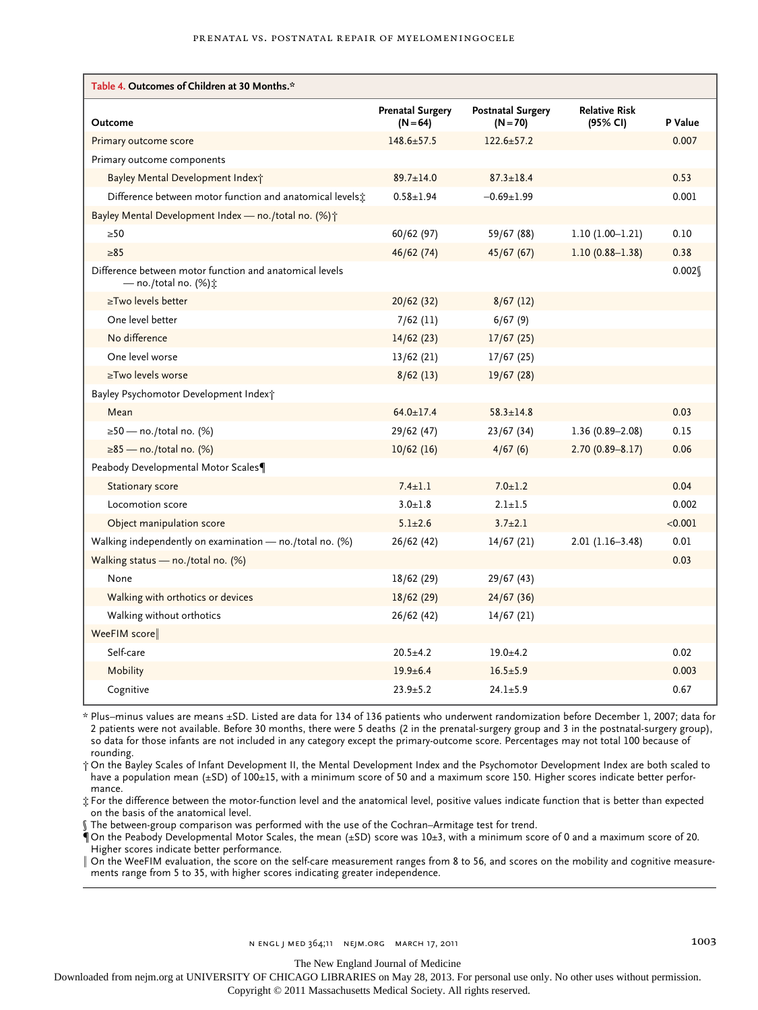| Table 4. Outcomes of Children at 30 Months.*                                                       |                                       |                                        |                                  |         |
|----------------------------------------------------------------------------------------------------|---------------------------------------|----------------------------------------|----------------------------------|---------|
| Outcome                                                                                            | <b>Prenatal Surgery</b><br>$(N = 64)$ | <b>Postnatal Surgery</b><br>$(N = 70)$ | <b>Relative Risk</b><br>(95% CI) | P Value |
| Primary outcome score                                                                              | $148.6 \pm 57.5$                      | $122.6 \pm 57.2$                       |                                  | 0.007   |
| Primary outcome components                                                                         |                                       |                                        |                                  |         |
| Bayley Mental Development Indext                                                                   | $89.7 \pm 14.0$                       | $87.3 \pm 18.4$                        |                                  | 0.53    |
| Difference between motor function and anatomical levels;                                           | $0.58 \pm 1.94$                       | $-0.69 + 1.99$                         |                                  | 0.001   |
| Bayley Mental Development Index - no./total no. (%) <sup>+</sup>                                   |                                       |                                        |                                  |         |
| >50                                                                                                | 60/62 (97)                            | 59/67 (88)                             | $1.10(1.00-1.21)$                | 0.10    |
| $\geq 85$                                                                                          | 46/62 (74)                            | 45/67(67)                              | $1.10(0.88 - 1.38)$              | 0.38    |
| Difference between motor function and anatomical levels<br>— no./total no. $(\%)\ddot{\mathbf{r}}$ |                                       |                                        |                                  | 0.002   |
| ≥Two levels better                                                                                 | 20/62(32)                             | 8/67(12)                               |                                  |         |
| One level better                                                                                   | $7/62$ (11)                           | 6/67(9)                                |                                  |         |
| No difference                                                                                      | 14/62(23)                             | 17/67(25)                              |                                  |         |
| One level worse                                                                                    | 13/62 (21)                            | 17/67(25)                              |                                  |         |
| ≥Two levels worse                                                                                  | 8/62(13)                              | 19/67 (28)                             |                                  |         |
| Bayley Psychomotor Development Index†                                                              |                                       |                                        |                                  |         |
| Mean                                                                                               | $64.0 \pm 17.4$                       | $58.3 \pm 14.8$                        |                                  | 0.03    |
| $\geq$ 50 — no./total no. (%)                                                                      | 29/62 (47)                            | 23/67(34)                              | $1.36(0.89 - 2.08)$              | 0.15    |
| $\geq 85$ — no./total no. (%)                                                                      | 10/62(16)                             | 4/67(6)                                | $2.70(0.89 - 8.17)$              | 0.06    |
| Peabody Developmental Motor Scales                                                                 |                                       |                                        |                                  |         |
| <b>Stationary score</b>                                                                            | $7.4 + 1.1$                           | $7.0 + 1.2$                            |                                  | 0.04    |
| Locomotion score                                                                                   | $3.0 + 1.8$                           | $2.1 + 1.5$                            |                                  | 0.002   |
| Object manipulation score                                                                          | $5.1 \pm 2.6$                         | $3.7 \pm 2.1$                          |                                  | < 0.001 |
| Walking independently on examination $-$ no./total no. (%)                                         | 26/62 (42)                            | 14/67 (21)                             | $2.01(1.16-3.48)$                | 0.01    |
| Walking status - no./total no. (%)                                                                 |                                       |                                        |                                  | 0.03    |
| None                                                                                               | 18/62 (29)                            | 29/67 (43)                             |                                  |         |
| Walking with orthotics or devices                                                                  | 18/62(29)                             | 24/67(36)                              |                                  |         |
| Walking without orthotics                                                                          | 26/62 (42)                            | 14/67 (21)                             |                                  |         |
| WeeFIM score                                                                                       |                                       |                                        |                                  |         |
| Self-care                                                                                          | $20.5 + 4.2$                          | $19.0 + 4.2$                           |                                  | 0.02    |
| Mobility                                                                                           | $19.9 + 6.4$                          | $16.5 \pm 5.9$                         |                                  | 0.003   |
| Cognitive                                                                                          | $23.9 + 5.2$                          | $24.1 \pm 5.9$                         |                                  | 0.67    |

\* Plus–minus values are means ±SD. Listed are data for 134 of 136 patients who underwent randomization before December 1, 2007; data for 2 patients were not available. Before 30 months, there were 5 deaths (2 in the prenatal-surgery group and 3 in the postnatal-surgery group), so data for those infants are not included in any category except the primary-outcome score. Percentages may not total 100 because of rounding.

† On the Bayley Scales of Infant Development II, the Mental Development Index and the Psychomotor Development Index are both scaled to have a population mean (±SD) of 100±15, with a minimum score of 50 and a maximum score 150. Higher scores indicate better performance.

‡ For the difference between the motor-function level and the anatomical level, positive values indicate function that is better than expected on the basis of the anatomical level.

§ The between-group comparison was performed with the use of the Cochran–Armitage test for trend.

¶On the Peabody Developmental Motor Scales, the mean (±SD) score was 10±3, with a minimum score of 0 and a maximum score of 20. Higher scores indicate better performance.

On the WeeFIM evaluation, the score on the self-care measurement ranges from 8 to 56, and scores on the mobility and cognitive measurements range from 5 to 35, with higher scores indicating greater independence.

The New England Journal of Medicine

Downloaded from nejm.org at UNIVERSITY OF CHICAGO LIBRARIES on May 28, 2013. For personal use only. No other uses without permission.